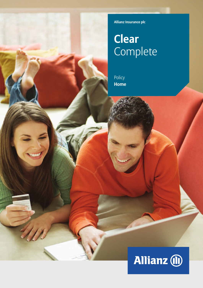**Allianz Insurance plc**

# **Clear** Complete

Policy **Home**

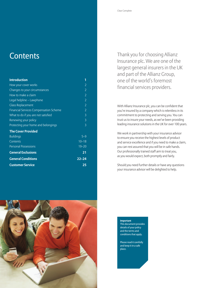# **Contents**

| <b>Introduction</b>                           | 1              |
|-----------------------------------------------|----------------|
| How your cover works                          | 2              |
| Changes to your circumstances                 | $\overline{2}$ |
| How to make a claim                           | $\overline{2}$ |
| Legal helpline - Lawphone                     | $\overline{2}$ |
| <b>Glass Replacement</b>                      | $\overline{2}$ |
| <b>Financial Services Compensation Scheme</b> | $\overline{2}$ |
| What to do if you are not satisfied           | 3              |
| Renewing your policy                          | 3              |
| Protecting your home and belongings           | 3              |
| <b>The Cover Provided</b>                     |                |
| <b>Buildings</b>                              | $5 - 9$        |
| Contents                                      | $10 - 18$      |
| <b>Personal Possessions</b>                   | $19 - 20$      |
| <b>General Exclusions</b>                     | 21             |
| <b>General Conditions</b>                     | $22 - 24$      |
| <b>Customer Service</b>                       | 25             |

Thank you for choosing Allianz Insurance plc. We are one of the largest general insurers in the UK and part of the Allianz Group, one of the world's foremost financial services providers.

With Allianz Insurance plc, you can be confident that you're insured by a company which is relentless in its commitment to protecting and serving you. You can trust us to insure your needs, as we've been providing leading insurance solutions in the UK for over 100 years.

We work in partnership with your insurance advisor to ensure you receive the highest levels of product and service excellence and if you need to make a claim, you can rest assured that you will be in safe hands. Our professionally trained staff aim to treat you, as you would expect, both promptly and fairly.

Should you need further details or have any questions your insurance advisor will be delighted to help.



**Important** This document provides details of your policy and the terms and conditions that apply.

Please read it carefully and keep it in a safe place.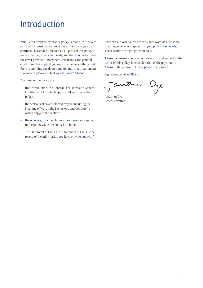# Introduction

Your Clear Complete insurance policy is made up of several parts which must be read together as they form your contract. Please take time to read all parts of this policy to make sure they meet your needs, and that you understand the cover provided, and general exclusions and general conditions that apply. If you wish to change anything or if there is anything you do not understand, or any statement is incorrect, please contact your insurance advisor.

The parts of the policy are:

- this Introduction, the General Exclusions and General Conditions, all of which apply to all sections of the policy;
- the sections of cover selected by you, including the Meaning of Words, the Exclusions and Conditions which apply to the section;
- the schedule, which includes all endorsements applied to the policy while the policy is in force;
- The Statement of Facts. (The Statement of Facts is the record of the information you have provided us with.)

If we explain what a word means, that word has the same meaning wherever it appears in your policy or schedule. These words are highlighted in bold.

Allianz will insure you in accordance with and subject to the terms of this policy, in consideration of the payment to Allianz of the premium for the period of insurance.

Signed on behalf of Allianz

esttiar Dye

Jonathan Dye Chief Executive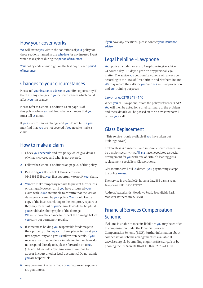## How your cover works

We will insure you within the conditions of your policy for those sections named in the schedule for any insured Event which takes place during the period of insurance.

Your policy ends at midnight on the last day of each period of insurance.

## Changes to your circumstances

Please tell your insurance advisor at your first opportunity if there are any changes to your circumstances which could affect your insurance.

Please refer to General Condition 13 on page 24 of this policy, where you will find a list of changes that you must tell us about.

If your circumstances change and you do not tell us, you may find that you are not covered if you need to make a claim.

## How to make a claim

- 1 Check your schedule and this policy which give details of what is covered and what is not covered.
- 2 Follow the General Conditions on page 22 of this policy.
- 3 Please ring our Household Claims Centre on 0344 893 9539 at your first opportunity to notify your claim.
- 4 You can make temporary repairs to prevent further loss or damage. However, until you have discussed your claim with us we are unable to confirm that the loss or damage is covered by your policy. You should keep a copy of the invoices relating to the temporary repairs as they may form part of your claim. It would be helpful if you could take photographs of the damage. We must have the chance to inspect the damage before you carry out permanent repairs.
- 5 If someone is holding you responsible for damage to their property or for *injury* to them, please tell us at your first opportunity and give us full written details. If you receive any correspondence in relation to the claim, do not respond directly to it, please forward it on to us. (This could include any claim form, summons to appear in court or other legal document.) Do not admit you are responsible.
- 6 Any permanent repairs made by our approved suppliers are guaranteed.

If you have any questions. please contact your insurance advisor.

## Legal helpline –Lawphone

Your policy includes access to Lawphone to give advice, 24 hours a day, 365 days a year, on any personal legal matter. The advice you get from Lawphone will always be according to the laws of Great Britain and Northern Ireland. We may record the calls for your and our mutual protection and our training purposes.

### Lawphone: 0370 241 4140

When you call Lawphone, quote the policy reference 36512. You will then be asked for a brief summary of the problem and these details will be passed on to an advisor who will return your call.

## Glass Replacement

(This service is only available if you have taken out Buildings cover.)

Broken glass is dangerous and in some circumstances can be a major security risk. Allianz have negotiated a special arrangement for you with one of Britain's leading glass replacement specialists, Glassolutions.

Glassolutions will bill  $us$  direct  $-$  you pay nothing except the policy excess.

The service is available 24 hours a day, 365 days a year. Telephone FREE 0800 474747.

Address: Waterlands, Meadows Road, Brookfields Park, Manvers, Rotherham, S63 5DJ

# Financial Services Compensation Scheme

If Allianz is unable to meet its liabilities you may be entitled to compensation under the Financial Services Compensation Scheme (FSCS). Further information about compensation scheme arrangements is available at www.fscs.org.uk, by emailing enquiries@fscs.org.uk or by phoning the FSCS on 0800 678 1100 or 0207 741 4100.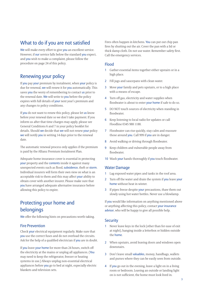## What to do if you are not satisfied

We will make every effort to give you an excellent service. However, if our service falls below the standard you expect, and you wish to make a complaint, please follow the procedure on page 24 of this policy.

# Renewing your policy

If you pay your premium by instalment, when your policy is due for renewal, we will renew it for you automatically. This saves you the worry of remembering to contact us prior to the renewal date. We will write to you before the policy expires with full details of your next year's premium and any changes to policy conditions.

If you do not want to renew this policy, please let us know before your renewal date so we don't take payment. If you inform us after that time charges may apply, please see General Conditions 6 and 7 in your policy booklet for details. Should we decide that we will not renew your policy we will notify you in writing 14 days prior to the renewal date.

The automatic renewal process only applies if the premium is paid by the Allianz Premium Instalment Plan.

Adequate home insurance cover is essential in protecting your property and the contents inside it against many unexpected events such as flood, subsidence, theft or storm. Individual insurers will form their own view on what is an acceptable risk to them and this may affect your ability to obtain cover with another insurer. Please make sure that you have arranged adequate alternative insurance before allowing this policy to expire.

# Protecting your home and belongings

We offer the following hints on precautions worth taking.

## Fire Prevention

Check your electrical equipment regularly. Make sure that you use the correct fuses and do not overload the circuits. Ask for the help of a qualified electrician if you are in doubt.

If you leave your home for more than 24 hours, switch off the electricity at the mains or unplug all appliances. (You may need to keep the refrigerator, freezer or heating systems in use.) Always unplug non-essential electrical appliances before you go to bed at night, especially electric blankets and television sets.

Fires often happen in kitchens. You can put out chip pan fires by shutting out the air. Cover the pan with a lid or thick damp cloth. Do not use water. Remember safety first. Call the emergency services.

## Flood

- 1 Gather essential items together either upstairs or in a high place.
- 2 Fill jugs and saucepans with clean water.
- 3 Move your family and pets upstairs, or to a high place with a means of escape.
- 4 Turn off gas, electricity and water supplies when floodwater is about to enter your home if safe to do so.
- 5 DO NOT touch sources of electricity when standing in floodwater.
- 6 Keep listening to local radio for updates or call Floodline 0345 988 1188.
- 7 Floodwater can rise quickly, stay calm and reassure those around you. Call 999 if you are in danger.
- 8 Avoid walking or driving through floodwater.
- 9 Keep children and vulnerable people away from floodwater.
- 10 Wash your hands thoroughly if you touch floodwater.

## Water Damage

- 1 Lag exposed water pipes and tanks in the roof area.
- 2 Turn off the water and drain the system if you leave your home without heat in winter.
- 3 If pipes freeze despite your precautions, thaw them out slowly using hot water bottles. Never use a blowlamp.

If you would like information on anything mentioned above or anything affecting this policy, contact your insurance advisor, who will be happy to give all possible help.

## **Security**

- 1 Never leave keys in the lock (other than for ease of exit at night), hanging inside a letterbox or hidden outside the home.
- 2 When upstairs, avoid leaving doors and windows open downstairs.
- 3 Don't leave small valuables, money, handbags, wallets and purses where they can be easily seen from outside.
- 4 If you go out in the evening, leave a light on in a living room or bedroom. Leaving an outside or landing light on is not sufficient, the home must look lived in.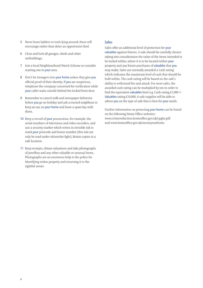- 5 Never leave ladders or tools lying around, these will encourage rather than deter an opportunist thief.
- 6 Close and lock all garages, sheds and other outbuildings.
- 7 Join a local Neighbourhood Watch Scheme or consider starting one in your area.
- 8 Don't let strangers into your home unless they give you official proof of their identity. If you are suspicious, telephone the company concerned for verification while your caller waits outside behind the locked front door.
- 9 Remember to cancel milk and newspaper deliveries before you go on holiday and ask a trusted neighbour to keep an eye on your home and leave a spare key with them.
- 10 Keep a record of your possessions, for example, the serial numbers of televisions and video recorders, and use a security marker which writes in invisible ink to mark your postcode and house number (this ink can only be read under ultraviolet light). Retain copies in a safe location.
- 11 Keep receipts, obtain valuations and take photographs of jewellery and any other valuable or unusual items. Photographs are an enormous help to the police for identifying stolen property and returning it to the rightful owner.

### Safes

Safes offer an additional level of protection for your valuables against thieves. A safe should be carefully chosen taking into consideration the value of the items intended to be locked within, where it is to be located within your property and any future purchases of valuables that you may make. Safes are normally awarded a 'cash rating' which indicates the maximum level of cash that should be held within. The cash rating will be based on the safe's ability to withstand fire and attack. For most safes, the awarded cash rating can be multiplied by ten in order to find the equivalent valuables limit e.g. Cash rating  $£1,000 =$ Valuables rating  $£10,000$ . A safe supplier will be able to advise you on the type of safe that is best for your needs.

Further information on protecting your home can be found on the following Home Office websites: www.crimereduction.homeoffice.gov.uk/cpghs.pdf and www.homeoffice.gov.uk/secureyourhome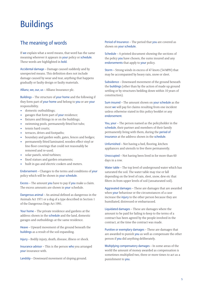# **Buildings**

# The meaning of words

If we explain what a word means, that word has the same meaning wherever it appears in your policy or schedule. These words are highlighted in bold.

Accidental damage – Damage caused suddenly and by unexpected means. This definition does not include damage caused by wear and tear, anything that happens gradually or faulty design or faulty materials.

Allianz, we, our, us – Allianz Insurance plc.

Buildings – The structure of your home and the following if they form part of your home and belong to you or are your responsibility.

- domestic outbuildings;
- garages that form part of your residence;
- fixtures and fittings in or on the buildings;
- swimming pools, permanently fitted hot tubs;
- tennis hard courts;
- terraces, drives and footpaths;
- boundary and garden walls, gates, fences and hedges;
- permanently fitted laminated, wooden effect vinyl or lino floor coverings that could not reasonably be removed and re-used;
- solar panels, wind turbines;
- fixed statues and garden ornaments;
- built in gas and electric cookers and meters.

Endorsement – Changes to the terms and conditions of your policy which will be shown in your schedule.

Excess – The amount you have to pay if you make a claim. The excess amounts are shown in your schedule.

Dangerous animal – An animal defined as dangerous in the Animals Act 1971 or a dog of a type described in Section 1 of the Dangerous Dogs Act 1991.

Your home – The private residence and gardens at the address shown in the schedule and the land, domestic garages and outbuildings at the same residence.

Heave – Upward movement of the ground beneath the buildings as a result of the soil expanding.

Injury – Bodily injury, death, disease, illness or shock.

Insurance advisor – This is the person who you arranged your insurance with.

Landslip – Downward movement of sloping ground.

Period of Insurance – The period that you are covered as shown on your schedule.

Schedule – A printed document showing the sections of the policy you have chosen, the sums insured and any endorsements that apply to your policy.

Storm – Strong winds in excess of 47 knots (54 MPH) that may be accompanied by heavy rain, snow or sleet.

Subsidence – Downward movement of the ground beneath the buildings (other than by the action of made up ground settling or by structures bedding down within 10 years of construction).

Sum insured – The amount shown on your schedule as the most we will pay for claims resulting from one incident unless otherwise stated in this policy booklet or any endorsement.

You, your – The person named as the policyholder in the schedule, their partner and members of their family permanently living with them, during the period of insurance at the address shown in the schedule.

Unfurnished – Not having a bed, flooring, kitchen appliances and utensils to live there permanently.

Unoccupied – Not having been lived in for more than 60 days in a row.

Water table – The top level of underground water which has saturated the soil. The water table may rise or fall depending on the level of rain, sleet, snow, dew etc that filters in from upper levels of soil (unsaturated soil).

Aggravated damages – These are damages that are awarded when your behaviour or the circumstances of a case increase the injury to the other person because they are humiliated, distressed or embarrassed.

Liquidated damages – These are damages where the amount to be paid for failing to keep to the terms of a contract has been agreed by the people involved in the contract, at the time the contract was made.

Punitive or exemplary damages – These are damages that are awarded to punish you as well as compensate the other person if you did anything deliberately.

Multiplying compensatory damages – In some areas of the world the amount of money awarded as compensation is sometimes multiplied two, three or more times to act as a punishment to you.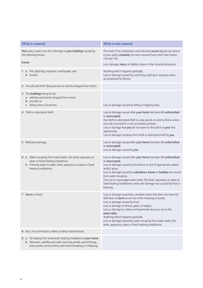| What is covered                                                                                                                                                                                                       | What is not covered                                                                                                                                                                                                                                                                                                                                                                                                                                           |
|-----------------------------------------------------------------------------------------------------------------------------------------------------------------------------------------------------------------------|---------------------------------------------------------------------------------------------------------------------------------------------------------------------------------------------------------------------------------------------------------------------------------------------------------------------------------------------------------------------------------------------------------------------------------------------------------------|
| Your policy covers loss of or damage to your buildings caused by<br>the following Events.                                                                                                                             | The total of the compulsory and voluntary excess figures (as shown<br>in your policy schedule) for each insured Event other than Events<br>15a and 15b.                                                                                                                                                                                                                                                                                                       |
| Events                                                                                                                                                                                                                | Loss, damage, injury or liability shown in the General Exclusions.                                                                                                                                                                                                                                                                                                                                                                                            |
| Fire, lightning, explosion, earthquake; and<br>1<br>a<br>Smoke.<br>b                                                                                                                                                  | Anything which happens gradually.<br>Loss or damage caused by scorching, melting or warping unless<br>accompanied by flames.                                                                                                                                                                                                                                                                                                                                  |
| 2 Aircraft and other flying devices or articles dropped from them.                                                                                                                                                    |                                                                                                                                                                                                                                                                                                                                                                                                                                                               |
| 3 The buildings being hit by:<br>a vehicles and articles dropped from them;<br>animals; or<br>b<br>falling trees or branches.<br>C                                                                                    | Loss or damage caused by felling or lopping trees.                                                                                                                                                                                                                                                                                                                                                                                                            |
| 4 Theft or attempted theft.                                                                                                                                                                                           | Loss or damage caused after your home has been left unfurnished<br>or unoccupied.<br>Any theft or attempted theft to solar panels or wind turbines unless<br>securely mounted in a non-accessible position.<br>Loss or damage that you do not report to the police at your first<br>opportunity.<br>Loss or damage resulting from theft or attempted theft by you.                                                                                            |
| Malicious damage.<br>5                                                                                                                                                                                                | Loss or damage caused after your home has been left unfurnished<br>or unoccupied.<br>Loss or damage caused by you.                                                                                                                                                                                                                                                                                                                                            |
| a Water escaping from water tanks, fish tanks, apparatus or<br>6<br>pipes or fixed heating installations.<br><b>b</b> Freezing water in water tanks, apparatus or pipes or fixed<br>heating installations.            | Loss or damage caused after your home has been left unfurnished<br>or unoccupied.<br>Loss or damage caused by the failure or lack of appropriate sealant<br>and/or grout.<br>Loss or damage caused by subsidence, heave or landslip that results<br>from water escaping.<br>The cost to repair your water tanks, fish tanks, apparatus or pipes or<br>fixed heating installations unless the damage was caused by frost or<br>freezing.                       |
| Storm or flood.                                                                                                                                                                                                       | Loss or damage caused by a weather event that does not meet the<br>definition of storm as set out in the meaning of words.<br>Loss or damage caused by frost.<br>Loss or damage to fences, gates or hedges.<br>Loss or damage to cellars and basements due to a rise in the<br>water table.<br>Anything which happens gradually.<br>Loss or damage caused by water escaping from water tanks, fish<br>tanks, apparatus, pipes or fixed heating installations. |
| Riot, civil commotion, strikes or labour disturbances.<br>8                                                                                                                                                           |                                                                                                                                                                                                                                                                                                                                                                                                                                                               |
| Oil leaking from a domestic heating installation at your home.<br>9<br>a<br>Television, satellite and radio receiving aerials, aerial fittings,<br>b<br>solar panels, wind turbines and masts breaking or collapsing. |                                                                                                                                                                                                                                                                                                                                                                                                                                                               |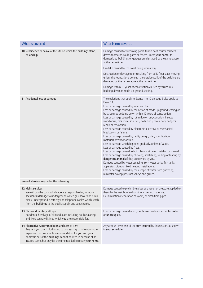| What is covered                                                                                                                                                                                                                                                                                                    | What is not covered                                                                                                                                                                                                                                                                                                                                                                                                                                                                                                                                                                                                                                                                                                                                                                                                                                                                                                                                                                                                                                                                                                                                          |
|--------------------------------------------------------------------------------------------------------------------------------------------------------------------------------------------------------------------------------------------------------------------------------------------------------------------|--------------------------------------------------------------------------------------------------------------------------------------------------------------------------------------------------------------------------------------------------------------------------------------------------------------------------------------------------------------------------------------------------------------------------------------------------------------------------------------------------------------------------------------------------------------------------------------------------------------------------------------------------------------------------------------------------------------------------------------------------------------------------------------------------------------------------------------------------------------------------------------------------------------------------------------------------------------------------------------------------------------------------------------------------------------------------------------------------------------------------------------------------------------|
| 10 Subsidence or heave of the site on which the buildings stand,<br>or landslip.                                                                                                                                                                                                                                   | Damage caused to swimming pools, tennis hard courts, terraces,<br>drives, footpaths, walls, gates or fences unless your home, its<br>domestic outbuildings or garages are damaged by the same cause<br>at the same time.                                                                                                                                                                                                                                                                                                                                                                                                                                                                                                                                                                                                                                                                                                                                                                                                                                                                                                                                     |
|                                                                                                                                                                                                                                                                                                                    | Landslip caused by the coast being worn away.                                                                                                                                                                                                                                                                                                                                                                                                                                                                                                                                                                                                                                                                                                                                                                                                                                                                                                                                                                                                                                                                                                                |
|                                                                                                                                                                                                                                                                                                                    | Destruction or damage to or resulting from solid floor slabs moving<br>unless the foundations beneath the outside walls of the building are<br>damaged by the same cause at the same time.                                                                                                                                                                                                                                                                                                                                                                                                                                                                                                                                                                                                                                                                                                                                                                                                                                                                                                                                                                   |
|                                                                                                                                                                                                                                                                                                                    | Damage within 10 years of construction caused by structures<br>bedding down or made-up ground settling.                                                                                                                                                                                                                                                                                                                                                                                                                                                                                                                                                                                                                                                                                                                                                                                                                                                                                                                                                                                                                                                      |
| 11 Accidental loss or damage                                                                                                                                                                                                                                                                                       | The exclusions that apply to Events 1 to 10 on page 6 also apply to<br>Event 11.<br>Loss or damage caused by wear and tear.<br>Loss or damage caused by the action of made up ground settling or<br>by structures bedding down within 10 years of construction.<br>Loss or damage caused by rot, mildew, rust, corrosion, insects,<br>woodworm, rats, mice, squirrels, owls, birds, foxes, bats, badgers,<br>repair or renovation.<br>Loss or damage caused by electronic, electrical or mechanical<br>breakdown or failure.<br>Loss or damage caused by faulty design, plan, specification,<br>materials or workmanship.<br>Loss or damage which happens gradually, or loss of value.<br>Loss or damage caused by frost.<br>Loss or damage caused to hot tubs whilst being installed or moved.<br>Loss or damage caused by chewing, scratching, fouling or tearing by<br>dangerous animals if they are owned by you.<br>Damage caused by water escaping from water tanks, fish tanks,<br>apparatus, pipes or fixed heating installations.<br>Loss or damage caused by the escape of water from guttering,<br>rainwater downpipes, roof valleys and gullies. |
| We will also insure you for the following:                                                                                                                                                                                                                                                                         |                                                                                                                                                                                                                                                                                                                                                                                                                                                                                                                                                                                                                                                                                                                                                                                                                                                                                                                                                                                                                                                                                                                                                              |
| 12 Mains services<br>We will pay the costs which you are responsible for, to repair<br>accidental damage to underground water, gas, sewer and drain<br>pipes, underground electricity and telephone cables which reach<br>from the buildings to the public supply, and septic tanks.                               | Damage caused to pitch fibre pipes as a result of pressure applied to<br>them by the weight of soil or other covering materials.<br>De-lamination (separation of layers) of pitch fibre pipes.                                                                                                                                                                                                                                                                                                                                                                                                                                                                                                                                                                                                                                                                                                                                                                                                                                                                                                                                                               |
| 13 Glass and sanitary fittings<br>Accidental breakage of all fixed glass including double glazing<br>and fixed sanitary fittings which you are responsible for.                                                                                                                                                    | Loss or damage caused after your home has been left unfurnished<br>or unoccupied.                                                                                                                                                                                                                                                                                                                                                                                                                                                                                                                                                                                                                                                                                                                                                                                                                                                                                                                                                                                                                                                                            |
| 14 Alternative Accommodation and Loss of Rent<br>Any rent you pay, including up to two years ground rent or other<br>expenses for comparable accommodation for you and your<br>domestic pets if the buildings cannot be lived in because of an<br>insured event, but only for the time needed to repair your home. | Any amount over 25% of the sum insured by this section, as shown<br>in your schedule.                                                                                                                                                                                                                                                                                                                                                                                                                                                                                                                                                                                                                                                                                                                                                                                                                                                                                                                                                                                                                                                                        |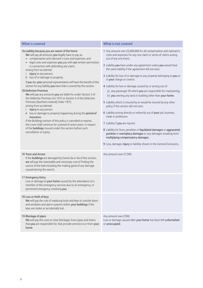| What is covered                                                                                                                                                                                                                                                                                                                                                                                                                                                                                                                                                                                                                                                                                                                                                                                                                                                                                                                                                                                                                                                                                                    | What is not covered                                                                                                                                                                                                                                                                                                                                                                                                                                                                                                                                                                                                                                                                                                                                                                                                                                                                                                                                                                                                                                                                               |
|--------------------------------------------------------------------------------------------------------------------------------------------------------------------------------------------------------------------------------------------------------------------------------------------------------------------------------------------------------------------------------------------------------------------------------------------------------------------------------------------------------------------------------------------------------------------------------------------------------------------------------------------------------------------------------------------------------------------------------------------------------------------------------------------------------------------------------------------------------------------------------------------------------------------------------------------------------------------------------------------------------------------------------------------------------------------------------------------------------------------|---------------------------------------------------------------------------------------------------------------------------------------------------------------------------------------------------------------------------------------------------------------------------------------------------------------------------------------------------------------------------------------------------------------------------------------------------------------------------------------------------------------------------------------------------------------------------------------------------------------------------------------------------------------------------------------------------------------------------------------------------------------------------------------------------------------------------------------------------------------------------------------------------------------------------------------------------------------------------------------------------------------------------------------------------------------------------------------------------|
| 15a Liability because you are owner of the home<br>We will pay all amounts you legally have to pay as:<br>• compensation and claimant's costs and expenses; and<br>legal costs and expenses you pay with our written permission<br>in connection with defending any claim;<br>arising from accidental:<br>injury to any person;<br>ii loss of or damage to property.<br>If you die, your personal representative will have the benefit of this<br>section for any liability you have that is covered by this section.<br>15b Defective Premises<br>We will pay any amounts you are liable for under Section 3 of<br>the Defective Premises Act 1972 or Section 5 of the Defective<br>Premises (Northern Ireland) Order 1975;<br>arising from accidental:<br>injury to any person.<br>$\mathsf{I}$<br>loss or damage to property happening during the period of<br>Ϊİ.<br>insurance.<br>If the Buildings section of this policy is cancelled or expires,<br>this cover shall continue for a period of seven years, in respect<br>of the buildings insured under this section before such<br>cancellation or expiry. | 1 Any amount over £2,000,000 for all compensation and claimant's<br>costs and expenses for any one claim or series of claims arising<br>out of any one Event.<br>2 Liability you have under any agreement unless you would have<br>the same liability if the agreement did not exist.<br>3 Liability for loss of or damage to any property belonging to you or<br>in your charge or control.<br>4 Liability for loss or damage caused by or arising out of:<br>a) any passenger lift which you are responsible for maintaining;<br>b) you owning any land or building other than your home.<br>5 Liability which is insured by or would be insured by any other<br>policy if this section did not exist.<br>6 Liability arising directly or indirectly out of your job, business,<br>trade or profession.<br>7 Liability if you are injured.<br>8 Liability for fines, penalties or liquidated damages or aggravated,<br>punitive or exemplary damages or any damages resulting from<br>multiplying compensatory damages.<br>9 Loss, damage, injury or liability shown in the General Exclusions. |
| 16 Trace and Access<br>If the buildings are damaged by Events 6a or 9a of this section,<br>we will pay the reasonable and necessary cost of finding the<br>source of the leak including the making good of any damage<br>caused during the search.                                                                                                                                                                                                                                                                                                                                                                                                                                                                                                                                                                                                                                                                                                                                                                                                                                                                 | Any amount over £7,500.                                                                                                                                                                                                                                                                                                                                                                                                                                                                                                                                                                                                                                                                                                                                                                                                                                                                                                                                                                                                                                                                           |
| 17 Emergency Entry<br>Loss or damage to your home caused by the attendance of a<br>member of the emergency services due to an emergency, or<br>perceived emergency, involving you.                                                                                                                                                                                                                                                                                                                                                                                                                                                                                                                                                                                                                                                                                                                                                                                                                                                                                                                                 |                                                                                                                                                                                                                                                                                                                                                                                                                                                                                                                                                                                                                                                                                                                                                                                                                                                                                                                                                                                                                                                                                                   |
| 18 Loss or theft of keys<br>We will pay the cost of replacing locks and keys to outside doors<br>and windows and alarm systems within your buildings if the<br>keys are stolen or accidentally lost.                                                                                                                                                                                                                                                                                                                                                                                                                                                                                                                                                                                                                                                                                                                                                                                                                                                                                                               |                                                                                                                                                                                                                                                                                                                                                                                                                                                                                                                                                                                                                                                                                                                                                                                                                                                                                                                                                                                                                                                                                                   |
| 19 Blockage of pipes<br>We will pay the costs to clear blockages from pipes and drains<br>that you are responsible for, that provide services to or from your<br>home.                                                                                                                                                                                                                                                                                                                                                                                                                                                                                                                                                                                                                                                                                                                                                                                                                                                                                                                                             | Any amount over £500.<br>Loss or damage caused after your home has been left unfurnished<br>or unoccupied.                                                                                                                                                                                                                                                                                                                                                                                                                                                                                                                                                                                                                                                                                                                                                                                                                                                                                                                                                                                        |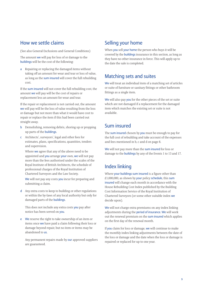## How we settle claims

(See also General Exclusions and General Conditions)

The amount we will pay for loss of or damage to the buildings will be the cost of the following:

a Repairing or replacing the damaged items without taking off an amount for wear and tear or loss of value, as long as the sum insured will cover the full rebuilding cost.

If the sum insured will not cover the full rebuilding cost, the amount we will pay will be the cost of repairs or replacement less an amount for wear and tear.

If the repair or replacement is not carried out, the amount we will pay will be the loss of value resulting from the loss or damage but not more than what it would have cost to repair or replace the item if this had been carried out straight away.

- b Demolishing, removing debris, shoring up or propping up parts of the buildings.
- c Architects', surveyors', legal and other fees for estimates, plans, specifications, quantities, tenders and supervision.

Where we agree that any of the above need to be appointed and you arrange your own, we will not pay more than the fees authorised under the scales of the Royal Institute of British Architects, the schedule of professional charges of the Royal Institution of Chartered Surveyors and the Law Society.

We will not pay any costs you incur for preparing and submitting a claim.

d Any extra costs to keep to building or other regulations or within the by-laws of any local authority but only for damaged parts of the buildings.

This does not include any extra costs you pay after notice has been served on you.

e We reserve the right to take ownership of an item or items once we have paid a claim following their loss or damage beyond repair, but no item or items may be abandoned to us.

Any permanent repairs made by our approved suppliers are guaranteed.

## Selling your home

When you sell your home the person who buys it will be covered by the buildings insurance in this section, as long as they have no other insurance in force. This will apply up to the date the sale is completed.

## Matching sets and suites

We will treat an individual item of a matching set of articles or suite of furniture or sanitary fittings or other bathroom fittings as a single item.

We will also pay you for the other pieces of the set or suite which are not damaged if a replacement for the damaged item which matches the existing set or suite is not available.

# Sum insured

The sum insured chosen by you must be enough to pay for the full cost of rebuilding and take account of the expenses and fees mentioned in b, c and d on page 8.

We will not pay more than the sum insured for loss or damage to the buildings by any of the Events 1 to 13 and 17.

# Index linking

Where your buildings sum insured is a figure other than £1,000,000, as shown by your policy schedule, this sum insured will change each month in accordance with the House Rebuilding Cost Index published by the Building Cost Information Service of the Royal Institution of Chartered Surveyors (or some other suitable index we decide upon).

We will not charge extra premiums on any index linking adjustments during the period of insurance. We will work out the renewal premium on the sum insured which applies on the first day of the renewal month.

If you claim for loss or damage, we will continue to make the monthly index linking adjustments between the date of the loss or damage and the date when the loss or damage is repaired or replaced for up to one year.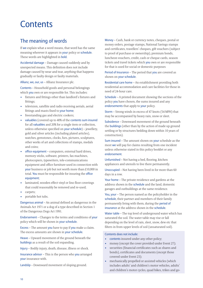# **Contents**

# The meaning of words

If we explain what a word means, that word has the same meaning wherever it appears in your policy or schedule. These words are highlighted in bold.

Accidental damage – Damage caused suddenly and by unexpected means. This definition does not include damage caused by wear and tear, anything that happens gradually or faulty design or faulty materials.

Allianz, we, our, us – Allianz Insurance plc.

Contents – Household goods and personal belongings which you own or are responsible for. This includes:

- fixtures and fittings other than landlord's fixtures and fittings;
- television, satellite and radio receiving aerials, aerial fittings and masts fixed to your home;
- freestanding gas and electric cookers;
- valuables (covered up to 40% of the contents sum insured for all valuables and 20% for a single item or collection, unless otherwise specified on your schedule) – jewellery, gold and silver articles (including plated articles), watches, gemstones, clocks, furs, pictures, sculptures, other works of art and collections of stamps, medals and coins;
- office equipment computers, external hard drives, memory sticks, software, printers, fax machines, photocopiers, typewriters, tele-communications equipment and office furniture used in connection with your business or job but not worth more than £10,000 in total. You must be responsible for insuring the office equipment;
- laminated, wooden effect vinyl or lino floor coverings that could reasonably be removed and re-used;
- carpets;
- portable hot tubs.

Dangerous animal – An animal defined as dangerous in the Animals Act 1971 or a dog of a type described in Section 1 of the Dangerous Dogs Act 1991.

Endorsement – Changes to the terms and conditions of your policy which will be shown in your schedule.

Excess – The amount you have to pay if you make a claim. The excess amounts are shown in your schedule.

Heave – Upward movement of the ground beneath the buildings as a result of the soil expanding.

Injury – Bodily injury, death, disease, illness or shock.

Insurance advisor – This is the person who you arranged your insurance with.

Landslip – Downward movement of sloping ground.

Money – Cash, bank or currency notes, cheques, postal or money orders, postage stamps, National Savings stamps and certificates, travellers' cheques, gift vouchers (subject to proof of purchase or ownership), premium bonds, luncheon vouchers, credit, cash or cheque cards, season tickets and travel tickets which you own or are responsible for that is used for social or domestic purposes

Period of Insurance – The period that you are covered as shown on your schedule.

Residential care home – An establishment providing both residential accommodation and care facilities for those in need of 24-hour care.

Schedule – A printed document showing the sections of the policy you have chosen, the sums insured and any endorsements that apply to your policy.

Storm – Strong winds in excess of 47 knots (54 MPH) that may be accompanied by heavy rain, snow or sleet.

Subsidence – Downward movement of the ground beneath the buildings (other than by the action of made up ground settling or by structures bedding down within 10 years of construction).

Sum insured – The amount shown on your schedule as the most we will pay for claims resulting from one incident unless otherwise stated in this policy booklet or any endorsement.

Unfurnished – Not having a bed, flooring, kitchen appliances and utensils to live there permanently.

Unoccupied – Not having been lived in for more than 60 days in a row.

Your home – The private residence and gardens at the address shown in the schedule and the land, domestic garages and outbuildings at the same residence.

You, your – The person named as the policyholder in the schedule, their partner and members of their family permanently living with them, during the period of insurance at the address shown in the schedule.

Water table – The top level of underground water which has saturated the soil. The water table may rise or fall depending on the level of rain, sleet, snow, dew etc that filters in from upper levels of soil (unsaturated soil).

#### Contents does not include:

- contents insured under any other policy;
- money (except the cover provided under Event 27);
- securities (financial certificates such as shares and bonds), certificates and documents (except those covered under Event 23);
- mechanically propelled or assisted vehicles (which includes adults' and children's motor vehicles, adults' and children's motor cycles, quad bikes, trikes and go-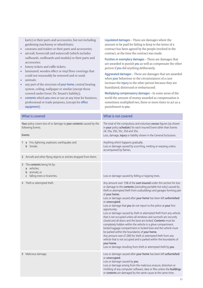karts) or their parts and accessories, but not including gardening machinery or wheelchairs; • caravans and trailers or their parts and accessories; • aircraft, hovercraft and watercraft (which includes sailboards, surfboards and models) or their parts and accessories; • lottery tickets and raffle tickets; • laminated, wooden effect or vinyl floor coverings that could not reasonably be removed and re-used; • animals; • any part of the structure of your home, central heating system, ceiling, wallpaper or similar (except those covered under Event 35c Tenant's liability); • contents which you own or use at any time for business, professional or trade purposes, (except for office equipment). Liquidated damages – These are damages where the amount to be paid for failing to keep to the terms of a contract has been agreed by the people involved in the contract, at the time the contract was made. Punitive or exemplary damages – These are damages that are awarded to punish you as well as compensate the other person if you did anything deliberately. Aggravated damages – These are damages that are awarded when your behaviour or the circumstances of a case increase the *injury* to the other person because they are humiliated, distressed or embarrassed. Multiplying compensatory damages – In some areas of the world the amount of money awarded as compensation is sometimes multiplied two, three or more times to act as a punishment to you. What is covered What is not covered Your policy covers loss of or damage to your contents caused by the following Events. Events The total of the compulsory and voluntary excess figures (as shown in your policy schedule) for each insured Event other than Events 24, 35a, 35b, 35c, 35d and 35e. Loss, damage, injury or liability shown in the General Exclusions. 1 a Fire, lightning, explosion, earthquake; and b Smoke. Anything which happens gradually. Loss or damage caused by scorching, melting or warping unless accompanied by flames. 2 Aircraft and other flying objects or articles dropped from them. 3 The contents being hit by: a vehicles; b animals; or c falling trees or branches. Loss or damage caused by felling or lopping trees. 4 Theft or attempted theft. Any amount over 15% of the sum insured under this section for loss or damage to the contents (excluding portable hot tubs) caused by theft or attempted theft from outbuildings and garages forming part of your home. Loss or damage caused after your home has been left unfurnished or unoccupied. Loss or damage that you do not report to the police at your first opportunity. Loss or damage caused by theft or attempted theft from any vehicle that is not occupied unless all windows and sunroofs are securely closed and all doors and the boot are locked. Contents must be completely hidden within the vehicle in a glove compartment, locked luggage compartment or locked boot and the vehicle must be parked within the boundaries of your home. Any amount over £1,000 for theft or attempted theft from any vehicle that is not occupied and is parked within the boundaries of your home. Loss or damage resulting from theft or attempted theft by you. 5 Malicious damage. Loss or damage caused after your home has been left unfurnished or unoccupied. Loss or damage caused by you. Loss or damage arising from the malicious erasure, distortion or misfiling of any computer software, data or files unless the buildings or contents are damaged by the same cause at the same time.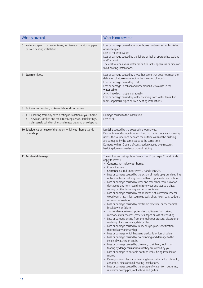| What is covered                                                                                                                                                                                                          | What is not covered                                                                                                                                                                                                                                                                                                                                                                                                                                                                                                                                                                                                                                                                                                                                                                                                                                                                                                                                                                                                                                                                                                                                                                                                                                                                                                                                                                                                                                                                                                                                                                                                                                                                                                                                                                  |
|--------------------------------------------------------------------------------------------------------------------------------------------------------------------------------------------------------------------------|--------------------------------------------------------------------------------------------------------------------------------------------------------------------------------------------------------------------------------------------------------------------------------------------------------------------------------------------------------------------------------------------------------------------------------------------------------------------------------------------------------------------------------------------------------------------------------------------------------------------------------------------------------------------------------------------------------------------------------------------------------------------------------------------------------------------------------------------------------------------------------------------------------------------------------------------------------------------------------------------------------------------------------------------------------------------------------------------------------------------------------------------------------------------------------------------------------------------------------------------------------------------------------------------------------------------------------------------------------------------------------------------------------------------------------------------------------------------------------------------------------------------------------------------------------------------------------------------------------------------------------------------------------------------------------------------------------------------------------------------------------------------------------------|
| 6 Water escaping from water tanks, fish tanks, apparatus or pipes<br>or fixed heating installations.                                                                                                                     | Loss or damage caused after your home has been left unfurnished<br>or unoccupied.<br>Loss of metered water.<br>Loss or damage caused by the failure or lack of appropriate sealant<br>and/or grout.<br>The cost to repair your water tanks, fish tanks, apparatus or pipes or<br>fixed heating installations.                                                                                                                                                                                                                                                                                                                                                                                                                                                                                                                                                                                                                                                                                                                                                                                                                                                                                                                                                                                                                                                                                                                                                                                                                                                                                                                                                                                                                                                                        |
| 7 Storm or flood.                                                                                                                                                                                                        | Loss or damage caused by a weather event that does not meet the<br>definition of storm as set out in the meaning of words.<br>Loss or damage caused by frost.<br>Loss or damage in cellars and basements due to a rise in the<br>water table.<br>Anything which happens gradually.<br>Loss or damage caused by water escaping from water tanks, fish<br>tanks, apparatus, pipes or fixed heating installations.                                                                                                                                                                                                                                                                                                                                                                                                                                                                                                                                                                                                                                                                                                                                                                                                                                                                                                                                                                                                                                                                                                                                                                                                                                                                                                                                                                      |
| Riot, civil commotion, strikes or labour disturbances.<br>8                                                                                                                                                              |                                                                                                                                                                                                                                                                                                                                                                                                                                                                                                                                                                                                                                                                                                                                                                                                                                                                                                                                                                                                                                                                                                                                                                                                                                                                                                                                                                                                                                                                                                                                                                                                                                                                                                                                                                                      |
| Oil leaking from any fixed heating installation at your home.<br>9<br>a<br><b>b</b> Television, satellite and radio receiving aerials, aerial fittings,<br>solar panels, wind turbines and masts breaking or collapsing. | Damage caused to the installation.<br>Loss of oil.                                                                                                                                                                                                                                                                                                                                                                                                                                                                                                                                                                                                                                                                                                                                                                                                                                                                                                                                                                                                                                                                                                                                                                                                                                                                                                                                                                                                                                                                                                                                                                                                                                                                                                                                   |
| 10 Subsidence or heave of the site on which your home stands,<br>or landslip.                                                                                                                                            | Landslip caused by the coast being worn away.<br>Destruction or damage to or resulting from solid floor slabs moving<br>unless the foundations beneath the outside walls of the building<br>are damaged by the same cause at the same time.<br>Damage within 10 years of construction caused by structures<br>bedding down or made-up ground settling.                                                                                                                                                                                                                                                                                                                                                                                                                                                                                                                                                                                                                                                                                                                                                                                                                                                                                                                                                                                                                                                                                                                                                                                                                                                                                                                                                                                                                               |
| 11 Accidental damage                                                                                                                                                                                                     | The exclusions that apply to Events 1 to 10 on pages 11 and 12 also<br>apply to Event 11.<br>• Contents not inside your home.<br>• Contact lenses.<br>Contents insured under Event 27 and Event 28.<br>Loss or damage caused by the action of made up ground settling<br>or by structures bedding down within 10 years of construction.<br>Loss or damage caused by wear and tear other than loss of or<br>$\bullet$<br>damage to any item resulting from wear and tear to a clasp,<br>setting or other fastening, carrier or container.<br>• Loss or damage caused by rot, mildew, rust, corrosion, insects,<br>woodworm, rats, mice, squirrels, owls, birds, foxes, bats, badgers,<br>repair or renovation.<br>• Loss or damage caused by electronic, electrical or mechanical<br>breakdown or failure.<br>Loss or damage to computer discs, software, flash drives,<br>memory sticks, records, cassettes, tapes or loss of recording.<br>• Loss or damage arising from the malicious erasure, distortion or<br>misfiling of any software, data or files.<br>• Loss or damage caused by faulty design, plan, specification,<br>materials or workmanship.<br>Loss or damage which happens gradually, or loss of value.<br>Loss or damage caused by overwinding and damage to the<br>$\bullet$<br>inside of watches or clocks.<br>Loss or damage caused by chewing, scratching, fouling or<br>tearing by dangerous animals if they are owned by you.<br>• Loss or damage to portable hot tubs whilst being installed or<br>moved<br>Damage caused by water escaping from water tanks, fish tanks,<br>$\bullet$<br>apparatus, pipes or fixed heating installations.<br>Loss or damage caused by the escape of water from guttering,<br>rainwater downpipes, roof valleys and gullies. |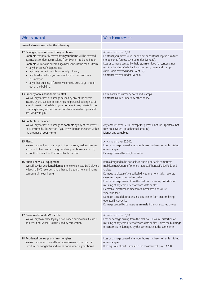| What is covered                                                                                                                                                                                                                                                                                                                                                                                                                                                                                                   | What is not covered                                                                                                                                                                                                                                                                                                                                                                                                                                                                                                                                                                                                         |
|-------------------------------------------------------------------------------------------------------------------------------------------------------------------------------------------------------------------------------------------------------------------------------------------------------------------------------------------------------------------------------------------------------------------------------------------------------------------------------------------------------------------|-----------------------------------------------------------------------------------------------------------------------------------------------------------------------------------------------------------------------------------------------------------------------------------------------------------------------------------------------------------------------------------------------------------------------------------------------------------------------------------------------------------------------------------------------------------------------------------------------------------------------------|
| We will also insure you for the following:                                                                                                                                                                                                                                                                                                                                                                                                                                                                        |                                                                                                                                                                                                                                                                                                                                                                                                                                                                                                                                                                                                                             |
| 12 Belongings you remove from your home<br>Contents temporarily moved from your home will be covered<br>against loss or damage resulting from Events 1 to 3 and 5 to 9.<br>Contents will also be covered against Event 4 if the theft is from:<br>• any bank or safe deposit box;<br>a private home in which somebody is living;<br>• any building where you are employed or carrying on a<br>business; or<br>any other building if force or violence is used to get into or<br>$\bullet$<br>out of the building. | Any amount over £5,000.<br>Contents you move to sell or exhibit, or contents kept in furniture<br>storage units (unless covered under Event 20).<br>Loss or damage caused by theft, storm or flood for contents not<br>within a building. Cash, bank and currency notes and stamps<br>(unless it is covered under Event 27).<br>Contents covered under Event 30.                                                                                                                                                                                                                                                            |
| 13 Property of resident domestic staff<br>We will pay for loss or damage caused by any of the events<br>insured by this section for clothing and personal belongings of<br>your domestic staff while in your home or in any private home,<br>boarding house, lodging house, hotel or inn in which your staff<br>are living with you.                                                                                                                                                                              | Cash, bank and currency notes and stamps.<br>Contents insured under any other policy.                                                                                                                                                                                                                                                                                                                                                                                                                                                                                                                                       |
| 14 Contents in the open<br>We will pay for loss or damage to contents by any of the Events 1<br>to 10 insured by this section if you leave them in the open within<br>the grounds of your home.                                                                                                                                                                                                                                                                                                                   | Any amount over £2,500 except for portable hot tubs (portable hot<br>tubs are covered up to their full amount).<br>Money and valuables.                                                                                                                                                                                                                                                                                                                                                                                                                                                                                     |
| 15 Plants<br>We will pay for loss or damage to trees, shrubs, hedges, bushes,<br>lawns and plants within the grounds of your home, caused by<br>any of the Events 1 to 10 insured by this section.                                                                                                                                                                                                                                                                                                                | Any amount over £2,500.<br>Loss or damage caused after your home has been left unfurnished<br>or unoccupied.<br>Damage caused by weight of snow.                                                                                                                                                                                                                                                                                                                                                                                                                                                                            |
| 16 Audio and Visual equipment<br>We will pay for accidental damage to television sets, DVD players,<br>video and DVD recorders and other audio equipment and home<br>computers in your home.                                                                                                                                                                                                                                                                                                                      | Items designed to be portable, including portable computers<br>mobile/smart/android/ phones, laptops, iPhones/iPads/iPods and<br>tablets.<br>Damage to discs, software, flash drives, memory sticks, records,<br>cassettes, tapes or loss of recording.<br>Loss or damage arising from the malicious erasure, distortion or<br>misfiling of any computer software, data or files.<br>Electronic, electrical or mechanical breakdown or failure.<br>Wear and tear.<br>Damage caused during repair, alteration or from an item being<br>operated incorrectly.<br>Damage caused by dangerous animals if they are owned by you. |
| 17 Downloaded Audio/Visual files<br>We will pay to replace legally downloaded audio/visual files lost<br>as a result of Events 1 to10 insured by this section.                                                                                                                                                                                                                                                                                                                                                    | Any amount over £1,000.<br>Loss or damage arising from the malicious erasure, distortion or<br>misfiling of any computer software, data or files unless the buildings<br>or contents are damaged by the same cause at the same time.                                                                                                                                                                                                                                                                                                                                                                                        |
| 18 Accidental breakage of mirrors or glass<br>We will pay for accidental breakage of mirrors, fixed glass in<br>furniture, cooking hobs and ovens doors while in your home.                                                                                                                                                                                                                                                                                                                                       | Loss or damage caused after your home has been left unfurnished<br>or unoccupied.<br>If no equivalent part is available the most we will pay is £250.                                                                                                                                                                                                                                                                                                                                                                                                                                                                       |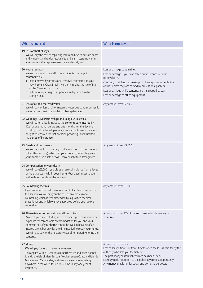| What is covered                                                                                                                                                                                                                                                                                                                                                                                   | What is not covered                                                                                                                                                                                                                                                                                                                       |
|---------------------------------------------------------------------------------------------------------------------------------------------------------------------------------------------------------------------------------------------------------------------------------------------------------------------------------------------------------------------------------------------------|-------------------------------------------------------------------------------------------------------------------------------------------------------------------------------------------------------------------------------------------------------------------------------------------------------------------------------------------|
| 19 Loss or theft of keys<br>We will pay the cost of replacing locks and keys to outside doors<br>and windows and to domestic safes and alarm systems within<br>your home if the keys are stolen or accidentally lost.                                                                                                                                                                             |                                                                                                                                                                                                                                                                                                                                           |
| 20 House removal<br>We will pay for accidental loss or accidental damage to<br>contents while:<br>a being moved by professional removal contractors to your<br>new home in Great Britain, Northern Ireland, the Isle of Man<br>or the Channel Islands; or<br><b>b</b> in temporary storage for up to seven days in a furniture<br>storage unit.                                                   | Loss or damage to valuables.<br>Loss or damage if you have taken out insurance with the<br>removal firm.<br>Cracking, scratching or breakage of china, glass or other brittle<br>articles unless they are packed by professional packers.<br>Loss or damage while contents are transported by sea.<br>Loss or damage to office equipment. |
| 21 Loss of oil and metered water<br>We will pay for loss of oil or metered water due to your domestic<br>water or fixed heating installations being damaged.                                                                                                                                                                                                                                      | Any amount over £2,500.                                                                                                                                                                                                                                                                                                                   |
| 22 Weddings, Civil Partnerships and Religious Festivals<br>We will automatically increase the contents sum insured by<br>10% for one month before and one month after the day of a<br>wedding, civil partnership or religious festival to cover presents<br>bought or received for that occasion providing this falls within<br>the period of insurance.                                          |                                                                                                                                                                                                                                                                                                                                           |
| 23 Deeds and documents<br>We will pay for loss or damage by Events 1 to 10 to documents<br>(other than money), which are your property, while they are in<br>your home or in a safe deposit, bank or solicitor's strongroom.                                                                                                                                                                      | Any amount over £2,500.                                                                                                                                                                                                                                                                                                                   |
| 24 Compensation for your death<br>We will pay £5,000 if you die as a result of violence from thieves<br>or fire that occurs within your home. Your death must happen<br>within three months of the incident.                                                                                                                                                                                      |                                                                                                                                                                                                                                                                                                                                           |
| 25 Counselling Victims<br>If you suffer emotional stress as a result of an Event insured by<br>this section, we will pay you the cost of any professional<br>counselling which is recommended by a qualified medical<br>practitioner and which we have approved before you receive<br>counselling.                                                                                                | Any amount over £1,500.                                                                                                                                                                                                                                                                                                                   |
| 26 Alternative Accommodation and Loss of Rent<br>Any rent you pay, including up to two years ground rent or other<br>expenses for comparable accommodation for you and your<br>domestic pets if your home cannot be lived in because of an<br>insured event, but only for the time needed to repair your home.<br>We will also pay for the necessary cost of temporarily storing the<br>contents. | Any amount over 25% of the sum insured as shown in your<br>schedule.                                                                                                                                                                                                                                                                      |
| 27 Money<br>We will pay for loss or damage to money.<br>This applies within Great Britain, Northern Ireland, the Channel<br>Islands, the Isle of Man, Europe, Mediterranean Coast and Islands,<br>Madeira and Canary Isles, and also while you are travelling<br>anywhere in the world for up to 60 days in any one year of<br>insurance.                                                         | Any amount over £750.<br>Loss of season tickets or travel tickets when the loss is paid for by the<br>authority who sold you the tickets.<br>The part of any season ticket which has been used.<br>Losses you do not report to the police at your first opportunity.<br>Any money that is not for social and domestic purposes.           |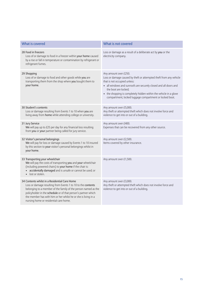| What is covered                                                                                                                                                                                                                                                                                                                                               | What is not covered                                                                                                                                                                                                                                                                                                                                     |
|---------------------------------------------------------------------------------------------------------------------------------------------------------------------------------------------------------------------------------------------------------------------------------------------------------------------------------------------------------------|---------------------------------------------------------------------------------------------------------------------------------------------------------------------------------------------------------------------------------------------------------------------------------------------------------------------------------------------------------|
| 28 Food in freezers<br>Loss of or damage to food in a freezer within your home caused<br>by a rise or fall in temperature or contamination by refrigerant or<br>refrigerant fumes.                                                                                                                                                                            | Loss or damage as a result of a deliberate act by you or the<br>electricity company.                                                                                                                                                                                                                                                                    |
| 29 Shopping<br>Loss of or damage to food and other goods while you are<br>transporting them from the shop where you bought them to<br>your home.                                                                                                                                                                                                              | Any amount over £250.<br>Loss or damage caused by theft or attempted theft from any vehicle<br>that is not occupied unless:<br>• all windows and sunroofs are securely closed and all doors and<br>the boot are locked;<br>• the shopping is completely hidden within the vehicle in a glove<br>compartment, locked luggage compartment or locked boot. |
| 30 Student's contents<br>Loss or damage resulting from Events 1 to 10 when you are<br>living away from home while attending college or university.                                                                                                                                                                                                            | Any amount over £5,000.<br>Any theft or attempted theft which does not involve force and<br>violence to get into or out of a building.                                                                                                                                                                                                                  |
| 31 Jury Service<br>We will pay up to £25 per day for any financial loss resulting<br>from you or your partner being called for jury service.                                                                                                                                                                                                                  | Any amount over £400.<br>Expenses that can be recovered from any other source.                                                                                                                                                                                                                                                                          |
| 32 Visitor's personal belongings<br>We will pay for loss or damage caused by Events 1 to 10 insured<br>by this section to your visitor's personal belongings whilst in<br>your home.                                                                                                                                                                          | Any amount over £2,500.<br>Items covered by other insurance.                                                                                                                                                                                                                                                                                            |
| 33 Transporting your wheelchair<br>We will pay the costs of transporting you and your wheelchair<br>(including powered chairs) to your home if the chair is:<br>• accidentally damaged and is unsafe or cannot be used; or<br>• lost or stolen.                                                                                                               | Any amount over £1,500.                                                                                                                                                                                                                                                                                                                                 |
| 34 Contents whilst in a Residential Care Home<br>Loss or damage resulting from Events 1 to 10 to the contents<br>belonging to a member of the family of the person named as the<br>policyholder in the schedule or of that person's partner which<br>the member has with him or her whilst he or she is living in a<br>nursing home or residential care home. | Any amount over £3,000.<br>Any theft or attempted theft which does not involve force and<br>violence to get into or out of a building.                                                                                                                                                                                                                  |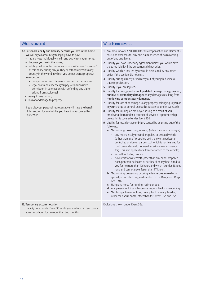35a Personal Liability and Liability because you live in the home We will pay all amounts you legally have to pay:

- as a private individual while in and away from your home;
- because you live in the home;
- whilst you live in the territories shown in General Exclusion 1 of this policy during any journey or temporary visit to any country in the world in which you do not own a property; in respect of:
	- compensation and claimant's costs and expenses; and
	- legal costs and expenses you pay with our written permission in connection with defending any claim; arising from accidental:
- i injury to any person;
- ii loss of or damage to property.

If you die, your personal representative will have the benefit of this section for any liability you have that is covered by this section.

## What is covered What is not covered

- 1 Any amount over £2,000,000 for all compensation and claimant's costs and expenses for any one claim or series of claims arising out of any one Event.
- 2 Liability you have under any agreement unless you would have the same liability if the agreement did not exist.
- 3 Liability which is insured by or would be insured by any other policy if this section did not exist.
- 4 Liability arising directly or indirectly out of your job, business, trade or profession.
- 5 Liability if you are injured.
- 6 Liability for fines, penalties or liquidated damages or aggravated, punitive or exemplary damages or any damages resulting from multiplying compensatory damages.
- 7 Liability for loss of or damage to any property belonging to you or in your charge or control unless this is covered under Event 35b.
- 8 Liability for injuring an employee arising as a result of you employing them under a contract of service or apprenticeship unless this is covered under Event 35d.
- 9 Liability for loss, damage or injury caused by or arising out of the following:
	- a You owning, possessing, or using (other than as a passenger):
		- any mechanically or wind propelled or assisted vehicle (other than a self-propelled golf trolley or a pedestriancontrolled or ride-on garden tool which is not licensed for road use and you do not need a certificate of insurance for). This also applies for a trailer attached to the vehicle;
		- aircraft including drones;
		- hovercraft or watercraft (other than any hand-propelled boat, pontoon, sailboard or surfboard or any boat hired to you for no more than 12 hours and which is under 18 feet long and cannot travel faster than 17 knots).
	- b You owning, possessing or using a dangerous animal or a specially-controlled dog, as described in the Dangerous Dogs Act 1991.
	- c Using any horse for hunting, racing or polo.
	- d Any passenger lift which you are responsible for maintaining.
	- e You being a tenant or living on any land or in any building other than your home, other than for Events 35b and 35c.

35b Temporary accommodation

Liability noted under Event 35 whilst you are living in temporary accommodation for no more than two months.

Exclusions shown under Event 35a.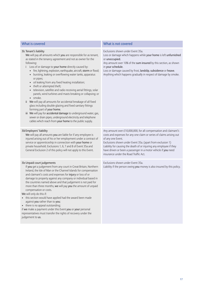| What is covered                                                                                                                                                                                                                                                                                                                                                                                                                                                                                                                                                                                                                                                                                                                                                                                                                                                                                                                                                                                                            | What is not covered                                                                                                                                                                                                                                                                                                                                                                                           |
|----------------------------------------------------------------------------------------------------------------------------------------------------------------------------------------------------------------------------------------------------------------------------------------------------------------------------------------------------------------------------------------------------------------------------------------------------------------------------------------------------------------------------------------------------------------------------------------------------------------------------------------------------------------------------------------------------------------------------------------------------------------------------------------------------------------------------------------------------------------------------------------------------------------------------------------------------------------------------------------------------------------------------|---------------------------------------------------------------------------------------------------------------------------------------------------------------------------------------------------------------------------------------------------------------------------------------------------------------------------------------------------------------------------------------------------------------|
| 35c Tenant's liability<br>We will pay all amounts which you are responsible for as tenant,<br>as stated in the tenancy agreement and not as owner for the<br>following:<br>Loss of or damage to your home directly caused by:<br>fire, lightning, explosion, earthquake, aircraft, storm or flood;<br>$\bullet$<br>bursting, leaking or overflowing water tanks, apparatus<br>or pipes;<br>oil leaking from any fixed heating installation;<br>$\bullet$<br>theft or attempted theft;<br>$\bullet$<br>television, satellite and radio receiving aerial fittings, solar<br>$\bullet$<br>panels, wind turbines and masts breaking or collapsing; or<br>• smoke.<br>ii We will pay all amounts for accidental breakage of all fixed<br>glass including double glazing and fixed sanitary fittings<br>forming part of your home.<br>iii We will pay for accidental damage to underground water, gas,<br>sewer or drain pipes, underground electricity and telephone<br>cables which reach from your home to the public supply. | Exclusions shown under Event 35a.<br>Loss or damage which happens while your home is left unfurnished<br>or unoccupied.<br>Any amount over 10% of the sum insured by this section, as shown<br>in your schedule.<br>Loss or damage caused by frost, landslip, subsidence or heave.<br>Anything which happens gradually in respect of damage by smoke.                                                         |
| 35d Employers' liability<br>We will pay all amounts you are liable for if any employee is<br>injured arising out of his or her employment under a contract of<br>service or apprenticeship in connection with your home or<br>private household. Exclusions 1, 6, 7 and 8 of Event 35a and<br>General Exclusion 2 of this policy will not apply to this Event.                                                                                                                                                                                                                                                                                                                                                                                                                                                                                                                                                                                                                                                             | Any amount over £10,000,000, for all compensation and claimant's<br>costs and expenses for any one claim or series of claims arising out<br>of any one Event.<br>Exclusions shown under Event 35a. (apart from exclusion 1)<br>Liability for causing the death of or injuring any employee if they<br>have driven or been a passenger in a motor vehicle if you need<br>insurance under the Road Traffic Act. |
| 35e Unpaid court judgements<br>If you get a judgement from any court in Great Britain, Northern<br>Ireland, the Isle of Man or the Channel Islands for compensation<br>and claimant's costs and expenses for injury or loss of or<br>damage to property against any company or individual based in<br>the countries named above and that judgement is not paid for<br>more than three months, we will pay you the amount of unpaid<br>compensation or costs.<br>We will only do this if:<br>• this section would have applied had the award been made<br>against you rather than to you;<br>• there is no appeal outstanding;<br>if we make a payment under this Event you or your personal<br>representatives must transfer the rights of recovery under the<br>judgement to us.                                                                                                                                                                                                                                          | Exclusions shown under Event 35a.<br>Liability if the person owing you money is also insured by this policy.                                                                                                                                                                                                                                                                                                  |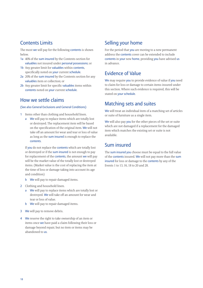## Contents Limits

The most we will pay for the following contents is shown below.

- 1a 40% of the sum insured by the Contents section for valuables not insured under personal possessions; or
- 1b Any greater limit for valuables within contents, specifically noted on your current schedule.
- 2a 20% of the sum insured by the Contents section for any valuables item or collection; or
- 2b Any greater limit for specific valuables items within contents noted on your current schedule.

## How we settle claims

### (See also General Exclusions and General Conditions)

- 1 Items other than clothing and household linen.
	- a We will pay to replace items which are totally lost or destroyed. The replacement item will be based on the specification of the original item. We will not take off an amount for wear and tear or loss of value as long as the sum insured is enough to replace the contents.

If you do not replace the contents which are totally lost or destroyed or if the sum insured is not enough to pay for replacement of the **contents**, the amount we will pay will be the market value of the totally lost or destroyed items. (Market value is the cost of replacing the item at the time of loss or damage taking into account its age and condition)

- b We will pay to repair damaged items.
- 2 Clothing and household linen.
	- a We will pay to replace items which are totally lost or destroyed. We will take off an amount for wear and tear or loss of value.
	- b We will pay to repair damaged items.
- 3 We will pay to remove debris.
- 4 We reserve the right to take ownership of an item or items once we have paid a claim following their loss or damage beyond repair, but no item or items may be abandoned to us.

## Selling your home

For the period that **you** are moving to a new permanent address the contents cover can be extended to include contents in your new home, providing you have advised us in advance.

## Evidence of Value

We may require you to provide evidence of value if you need to claim for loss or damage to certain items insured under this section. Where such evidence is required, this will be stated on your schedule.

## Matching sets and suites

We will treat an individual item of a matching set of articles or suite of furniture as a single item.

We will also pay you for the other pieces of the set or suite which are not damaged if a replacement for the damaged item which matches the existing set or suite is not available.

## Sum insured

The sum insured you choose must be equal to the full value of the contents insured. We will not pay more than the sum insured for loss or damage to the contents by any of the Events 1 to 13, 16, 18 to 20 and 28.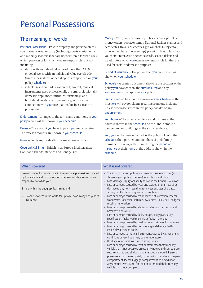# Personal Possessions

# The meaning of words

Personal Possessions – Private property and personal items you normally wear or carry (including sports equipment) and mobility scooters (that are not registered for road use), which you own or for which you are responsible, but not including:

- items with an individual value of more than £3,500 or pedal cycles with an individual value over £1,000 (unless these items or pedal cycles are specified on your policy schedule);
- vehicles (or their parts), watercraft, aircraft, musical instruments used professionally or semi-professionally, domestic appliances, furniture, furnishings and household goods or equipment or goods used in connection with your occupation, business, trade or profession.

Endorsement – Changes to the terms and conditions of your policy which will be shown in your schedule.

Excess – The amount you have to pay if you make a claim. The excess amounts are shown in your schedule.

Injury – Bodily injury, death, disease, illness or shock.

Geographical limits – British Isles, Europe, Mediterranean Coast and Islands, Madeira and Canary Isles.

Money – Cash, bank or currency notes, cheques, postal or money orders, postage stamps, National Savings stamps and certificates, traveller's cheques, gift vouchers (subject to proof of purchase or ownership), premium bonds, luncheon vouchers, credit, cash or cheque cards, season tickets and travel tickets which you own or are responsible for that are used for social or domestic purposes.

Period of Insurance – The period that you are covered as shown on your schedule.

Schedule – A printed document showing the sections of the policy you have chosen, the sums insured and any endorsements that apply to your policy.

Sum insured – The amount shown on your schedule as the most we will pay for claims resulting from one incident unless otherwise stated in this policy booklet or any endorsement.

Your home – The private residence and gardens at the address shown in the schedule and the land, domestic garages and outbuildings at the same residence.

You, your – The person named as the policyholder in the schedule, their partner and members of their family permanently living with them, during the period of insurance at their home at the address shown in the schedule.

| What is covered                                                                                                                                                                                                                                                                                         | What is not covered                                                                                                                                                                                                                                                                                                                                                                                                                                                                                                                                                                                                                                                                                                                                                                                                                                                                                                                                                                                                                                                                                                                                                                                                                                                                                                                                                                                                                                                                                                                                                                                                                                               |
|---------------------------------------------------------------------------------------------------------------------------------------------------------------------------------------------------------------------------------------------------------------------------------------------------------|-------------------------------------------------------------------------------------------------------------------------------------------------------------------------------------------------------------------------------------------------------------------------------------------------------------------------------------------------------------------------------------------------------------------------------------------------------------------------------------------------------------------------------------------------------------------------------------------------------------------------------------------------------------------------------------------------------------------------------------------------------------------------------------------------------------------------------------------------------------------------------------------------------------------------------------------------------------------------------------------------------------------------------------------------------------------------------------------------------------------------------------------------------------------------------------------------------------------------------------------------------------------------------------------------------------------------------------------------------------------------------------------------------------------------------------------------------------------------------------------------------------------------------------------------------------------------------------------------------------------------------------------------------------------|
| We will pay for loss or damage to the personal possessions covered<br>by this section and shown in your schedule, which you own or are<br>responsible for while you:<br>1 are within the geographical limits; and<br>2 travel elsewhere in the world for up to 60 days in any one year of<br>insurance. | • The total of the compulsory and voluntary excess figures (as<br>shown in your policy schedule) for each insured Event.<br>Loss, damage, injury or liability shown in the General Exclusions.<br>$\bullet$<br>Loss or damage caused by wear and tear, other than loss of or<br>$\bullet$<br>damage to any item resulting from wear and tear of a clasp,<br>setting or other fastening, carrier or container.<br>Loss or damage caused by rot, mildew, rust, corrosion, insects,<br>$\bullet$<br>woodworm, rats, mice, squirrels, owls, birds, foxes, bats, badgers,<br>repair or renovation.<br>• Loss or damage caused by electronic, electrical or mechanical<br>breakdown or failure.<br>Loss or damage caused by faulty design, faulty plan, faulty<br>$\bullet$<br>specification, faulty workmanship or faulty materials.<br>Loss or damage caused by gradual deterioration or loss of value.<br>$\bullet$<br>Loss or damage caused by overwinding and damage to the<br>inside of watches or clocks.<br>Loss or damage to musical instruments caused by atmospheric<br>$\bullet$<br>conditions or very hot or very cold temperatures.<br>Breakage of musical instrument strings or reeds.<br>$\bullet$<br>Loss or damage caused by theft or attempted theft from any<br>vehicle that is not occupied unless all windows and sunroofs are<br>securely closed and all doors and the boot are locked. Personal<br>possessions must be completely hidden within the vehicle in a glove<br>compartment, locked luggage compartment or locked boot.<br>Any amount over £1,000 for theft or attempted theft from any<br>$\bullet$<br>vehicle that is not occupied. |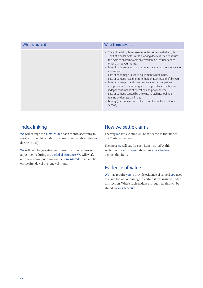| What is covered | What is not covered                                                                                                                                                                                                                                                                                                                                                                                                                                                                                                                                                                                                                                                                                                                                                                                                               |
|-----------------|-----------------------------------------------------------------------------------------------------------------------------------------------------------------------------------------------------------------------------------------------------------------------------------------------------------------------------------------------------------------------------------------------------------------------------------------------------------------------------------------------------------------------------------------------------------------------------------------------------------------------------------------------------------------------------------------------------------------------------------------------------------------------------------------------------------------------------------|
|                 | • Theft of pedal cycle accessories unless stolen with the cycle.<br>• Theft of a pedal cycle unless a locking device is used to secure<br>the cycle to an immovable object when it is left unattended<br>other than at your home.<br>• Loss of or damage to skiing or underwater equipment while you<br>are using it.<br>• Loss of or damage to sports equipment whilst in use.<br>Loss or damage resulting from theft or attempted theft by you.<br>$\bullet$<br>Loss or damage to audio, communication or navigational<br>$\bullet$<br>equipment unless it is designed to be portable and it has an<br>independent means of operation and power source.<br>• Loss or damage caused by chewing, scratching, fouling or<br>tearing by domestic animals.<br>Money (for money cover, refer to Event 27 of the Contents<br>section). |

# Index linking

We will change the sums insured each month according to the Consumer Price Index (or some other suitable index we decide to use).

We will not charge extra premiums on any index linking adjustments during the period of insurance. We will work out the renewal premium on the sum insured which applies on the first day of the renewal month.

## How we settle claims

The way we settle claims will be the same as that under the Contents section.

The most we will pay for each item insured by this section is the sum insured shown in your schedule against that item.

# Evidence of Value

We may require you to provide evidence of value if you need to claim for loss or damage to certain items insured under this section. Where such evidence is required, this will be stated on your schedule.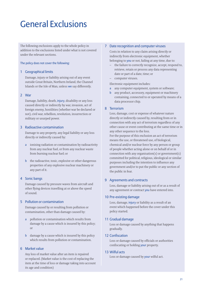# General Exclusions

The following exclusions apply to the whole policy in addition to the exclusions listed under what is not covered under the relevant sections.

#### The policy does not cover the following:

### 1 Geographical limits

Damage, injury or liability arising out of any event outside Great Britain, Northern Ireland, the Channel Islands or the Isle of Man, unless we say differently.

### 2 War

Damage, liability, death, injury, disability or any loss caused directly or indirectly by war, invasion, act of foreign enemy, hostilities (whether war be declared or not), civil war, rebellion, revolution, insurrection or military or usurped power.

### 3 Radioactive contamination

Damage to any property, any legal liability or any loss directly or indirectly caused by:

- a ionising radiation or contamination by radioactivity from any nuclear fuel, or from any nuclear waste from burning nuclear fuel; or
- b the radioactive, toxic, explosive or other dangerous properties of any explosive nuclear machinery or any part of it.

#### 4 Sonic bangs

Damage caused by pressure waves from aircraft and other flying devices travelling at or above the speed of sound.

### 5 Pollution or contamination

Damage caused by or resulting from pollution or contamination, other than damage caused by:

- a pollution or contamination which results from damage by a cause which is insured by this policy; or
- b damage by a cause which is insured by this policy which results from pollution or contamination.

## 6 Market value

Any loss of market value after an item is repaired or replaced. (Market value is the cost of replacing the item at the time of loss or damage taking into account its age and condition)

### 7 Date recognition and computer viruses

Costs in relation to any claim arising directly or indirectly from electronic equipment, whether belonging to you or not, failing at any time, due to:

- the failure to correctly recognize, accept, respond to, retrieve, retain or process any data representing date or part of a date, time; or
- computer viruses.

Electronic equipment includes:

- a any computer equipment, system or software;
- b any product, accessory, equipment or machinery containing, connected to or operated by means of a data processor chip.

### 8 Terrorism

Loss, damage, cost or expense of whatever nature directly or indirectly caused by, resulting from or in connection with any act of terrorism regardless of any other cause or event contributing at the same time or in any other sequence to the loss.

For the purpose of this exclusion an act of terrorism means the use, or threatened use, of biological, chemical and/or nuclear force by any person or group of people whether acting alone or on behalf of or in connection with any organisation(s) or government(s) committed for political, religious, ideological or similar purposes including the intention to influence any government and/or to put the public or any section of the public in fear.

### 9 Agreements and contracts

Loss, damage or liability arising out of or as a result of any agreement or contract you have entered into.

## 10 Pre-existing damage

Loss, damage, injury or liability as a result of an event which happened before the cover under this policy started.

### 11 Gradual damage

Loss or damage caused by anything that happens gradually.

### 12 Confiscation

Loss or damage caused by officials or authorities confiscating or holding your property.

#### 13 Wilful acts

Loss or damage caused by your wilful act.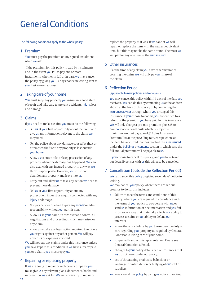# General Conditions

The following conditions apply to the whole policy.

## 1 Premium

You must pay the premium or any agreed instalment when **we** ask.

If the premium for this policy is paid by instalments and in the event you fail to pay one or more instalments, whether in full or in part, we may cancel the policy by giving you 14 days notice in writing sent to your last known address.

## 2 Taking care of your home

You must keep any property you insure in a good state of repair and take care to prevent accidents, injury, loss and damage.

## 3 Claims

If you need to make a claim, you must do the following:

- Tell us at your first opportunity about the event and give us any information relevant to the claim we may need.
- Tell the police about any damage caused by theft or attempted theft or if any property is lost outside your home.
- Allow us to enter, take or keep possession of any property where the damage has happened. We can also deal with any insured property in any way we think is appropriate. However, you must not abandon any property and leave it to us.
- Carry out and allow us to take any action we need to prevent more damage.
- Tell us at your first opportunity about any prosecution, inquest or enquiry connected with any injury or damage.
- Not pay or offer or agree to pay any **money** or admit responsibility without our permission.
- Allow us, in your name, to take over and control all negotiations and proceedings which may arise for any claim.
- Allow us to take any legal action required to enforce your rights against any other person. We will pay any costs or expenses involved.

We will not pay any claims under this insurance unless you have kept to this condition. If we have already paid you for a claim, you must repay us.

## 4 Repairing or replacing property

If we are going to repair or replace any property, you must give us any relevant plans, documents, books and information we ask for. We will always try to repair or

replace the property as it was. If we cannot we will repair or replace the item with the nearest equivalent item, but this may not be the same brand. The most we will pay for any one item is the sum insured.

## 5 Other insurances

If at the time of any claim you have other insurance covering the claim, we will only pay our share of the claim.

## 6 Reflection Period

### (applicable to new policies and renewals)

You may cancel this policy within 14 days of the date you receive it. You can do this by contacting us at the address shown at the back of this policy or by contacting the insurance advisor through whom you arranged this insurance. If you choose to do this, you are entitled to a refund of the premium you have paid for this insurance. We will only charge a pro-rata premium plus £15 to cover our operational costs which is subject to minimum amount payable of £25 plus Insurance Premium Tax at the prevailing rate, except where an incident has occurred that has reached the sum insured under the buildings or contents section in which case the full annual premium will be payable to us.

If you choose to cancel this policy, and you have taken out Legal Expenses with us this will also be cancelled.

## 7 Cancellation (outside the Reflection Period)

We can cancel this policy by giving seven days' notice in writing.

We may cancel your policy where there are serious grounds to do so, this includes:

- failure to meet the terms and conditions of this policy. Where you are required in accordance with the terms of your policy to co-operate with us, or send us information or documentation and you fail to do so in a way that materially affects our ability to process a claim, or our ability to defend our interests.
- where there is a failure by you to exercise the duty of care regarding your property as required by General Condition 2 Taking care of your home.
- suspected fraud or misrepresentation. Please see General Condition 8 Fraud.
- changes to your policy details or circumstances that we do not cover under our policy.
- use of threatening or abusive behaviour or language, or intimidation or bullying of our staff or suppliers.

You may cancel this policy by giving us notice in writing.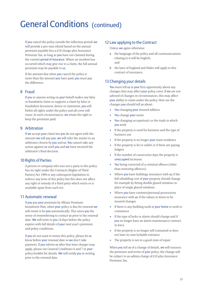# General Conditions (continued)

If you cancel the policy outside the reflection period; we will provide a pro-rata refund based on the annual premium payable less a £10 charge plus Insurance Premium Tax, as long as you have not claimed during the current period of insurance. Where an incident has occurred which may give rise to a claim, the full annual premium may be payable to us.

If the amount due when you cancel the policy is more than the amount you have paid, you must pay the difference.

## 8 Fraud

If you or anyone acting on your behalf makes any false or fraudulent claim or supports a claim by false or fraudulent document, device or statement, you will forfeit all rights under the policy and all cover will cease. In such circumstances, we retain the right to keep the premium paid.

## 9 Arbitration

If we accept your claim but you do not agree with the amount we will pay you, we will refer the matter to an arbitrator chosen by you and us. You cannot take any action against us until you and we have received the arbitrator's final decision.

## 10 Rights of Parties

A person or company who was not a party to this policy has no right under the Contracts (Rights of Third Parties) Act 1999 or any subsequent legislation to enforce any term of this policy but this does not affect any right or remedy of a third party which exists or is available apart from such Act.

## 11 Automatic renewal

If you pay your premium by Allianz Premium Instalment Plan, when your policy is due for renewal we will renew it for you automatically. This saves you the worry of remembering to contact us prior to the renewal date. We will write to you 14 days before the policy expires with full details of your next year's premium and policy conditions.

If you do not want to renew this policy, please let us know before your renewal date so we don't take payment. If you inform us after that time charges may apply, please see General Conditions 6 and 7 in your policy booklet for details. We will notify you in writing prior to the renewal date.

## 12 Law applying to the Contract

Unless we agree otherwise:

- a the language of the policy and all communications relating to it will be English; and
- **b** the laws of England and Wales will apply to this contract of insurance.

## 13 Changing your details

You must tell us at your first opportunity about any changes that may affect your policy cover. If we are not advised of changes in circumstances, this may affect your ability to claim under the policy. Here are the changes you should tell us about:

- You changing your insured address
- You change your name
- You changing occupation/s or the trade in which you work
- If the property is used for business and the type of business use
- If the property is no longer your main residence
- If the property is let or sublet or if there are paying lodgers
- If the number of consecutive days the property is unoccupied increases
- You being convicted of a criminal offence (other than motoring offences)
- Where you have buildings insurance with us; if the full rebuilding cost of your property should change for example by fitting double glazed windows in place of single glazed windows.
- Where you have contents/personal possessions insurance with us; if the values or items to be insured changes
- If there is any building work at your home or work to commence
- If the type of locks or alarm should change and if you no longer have an alarm maintenance contract in force
- If the property is no longer self-contained or does not have its own lockable entrance
- The property is not in a good state of repair

When you tell us of a change of details, we will reassess the premium and terms of your policy, the change will be subject to an admin charge of £10 plus Insurance Premium Tax.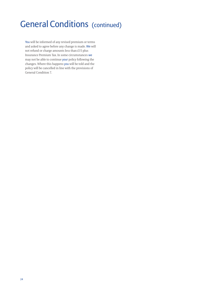# **General Conditions (continued)**

You will be informed of any revised premium or terms and asked to agree before any change is made. We will not refund or charge amounts less than £15 plus Insurance Premium Tax. In some circumstances we may not be able to continue your policy following the changes. Where this happens you will be told and the policy will be cancelled in line with the provisions of General Condition 7.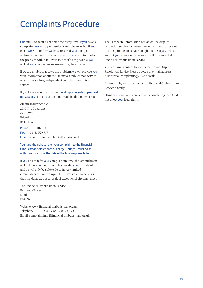# Complaints Procedure

Our aim is to get it right first time, every time. If you have a complaint, we will try to resolve it straight away but if we can't, we will confirm we have received your complaint within five working days and we will do our best to resolve the problem within four weeks. If that's not possible, we will let you know when an answer may be expected.

If we are unable to resolve the problem, we will provide you with information about the Financial Ombudsman Service which offers a free, independent complaint resolution service.

If you have a complaint about buildings, contents or personal possessions contact our customer satisfaction manager at:

Allianz Insurance plc 2530 The Quadrant Aztec West Bristol BS32 4AW

Phone: 0330 102 1781 Fax: 01483 529 717 Email: allianzretailcomplaints@allianz.co.uk

You have the right to refer your complaint to the Financial Ombudsman Service, free of charge – but you must do so within six months of the date of the final response letter.

If you do not refer your complaint in time, the Ombudsman will not have our permission to consider your complaint and so will only be able to do so in very limited circumstances. For example, if the Ombudsman believes that the delay was as a result of exceptional circumstances.

The Financial Ombudsman Service Exchange Tower London E14 9SR

Website: www.financial-ombudsman.org.uk Telephone: 0800 0234567 or 0300 1239123 Email: complaint.info@financial-ombudsman.org.uk The European Commission has an online dispute resolution service for consumers who have a complaint about a product or service bought online. If you choose to submit your complaint this way it will be forwarded to the Financial Ombudsman Service.

Visit ec.europa.eu/odr to access the Online Dispute Resolution Service. Please quote our e-mail address: allianzretailcomplaints@allianz.co.uk

Alternatively, you can contact the Financial Ombudsman Service directly.

Using our complaints procedure or contacting the FOS does not affect your legal rights.